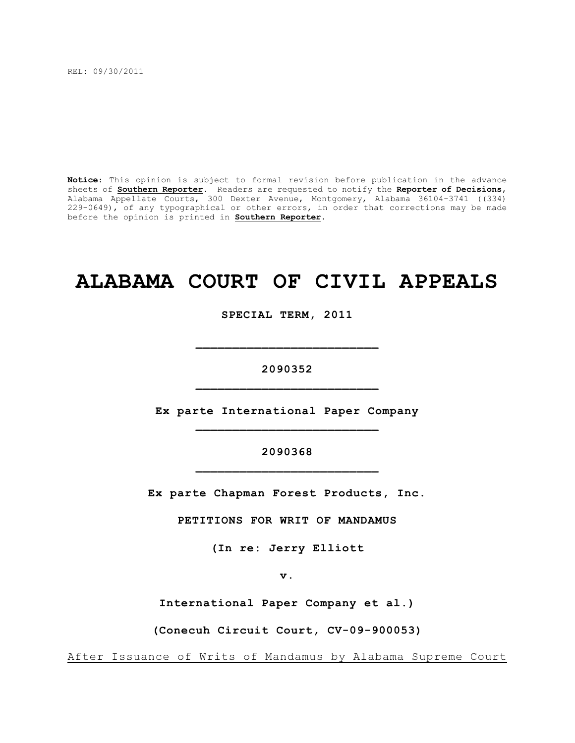REL: 09/30/2011

**Notice**: This opinion is subject to formal revision before publication in the advance sheets of **Southern Reporter**. Readers are requested to notify the **Reporter of Decisions**, Alabama Appellate Courts, 300 Dexter Avenue, Montgomery, Alabama 36104-3741 ((334) 229-0649), of any typographical or other errors, in order that corrections may be made before the opinion is printed in **Southern Reporter**.

## **ALABAMA COURT OF CIVIL APPEALS**

**SPECIAL TERM, 2011**

**\_\_\_\_\_\_\_\_\_\_\_\_\_\_\_\_\_\_\_\_\_\_\_\_\_**

**2090352 \_\_\_\_\_\_\_\_\_\_\_\_\_\_\_\_\_\_\_\_\_\_\_\_\_**

**Ex parte International Paper Company \_\_\_\_\_\_\_\_\_\_\_\_\_\_\_\_\_\_\_\_\_\_\_\_\_**

> **2090368 \_\_\_\_\_\_\_\_\_\_\_\_\_\_\_\_\_\_\_\_\_\_\_\_\_**

**Ex parte Chapman Forest Products, Inc.**

**PETITIONS FOR WRIT OF MANDAMUS**

**(In re: Jerry Elliott**

**v.**

**International Paper Company et al.)**

**(Conecuh Circuit Court, CV-09-900053)**

After Issuance of Writs of Mandamus by Alabama Supreme Court